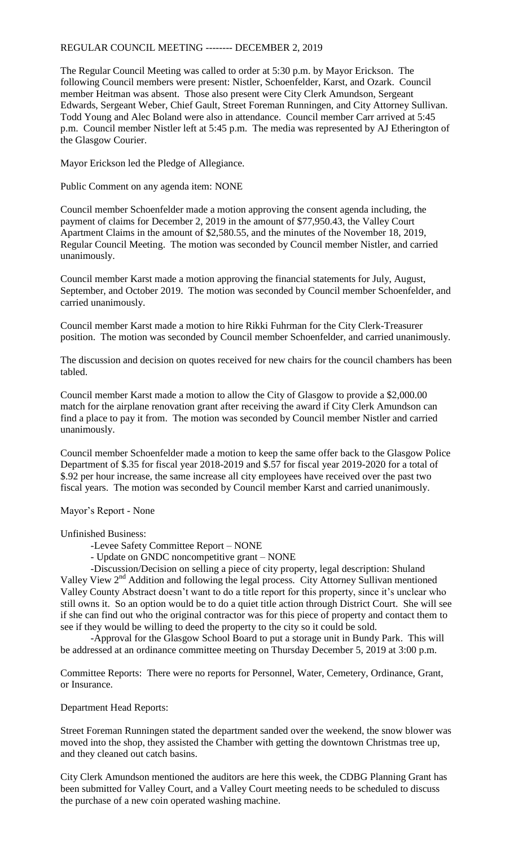## REGULAR COUNCIL MEETING -------- DECEMBER 2, 2019

The Regular Council Meeting was called to order at 5:30 p.m. by Mayor Erickson. The following Council members were present: Nistler, Schoenfelder, Karst, and Ozark. Council member Heitman was absent. Those also present were City Clerk Amundson, Sergeant Edwards, Sergeant Weber, Chief Gault, Street Foreman Runningen, and City Attorney Sullivan. Todd Young and Alec Boland were also in attendance. Council member Carr arrived at 5:45 p.m. Council member Nistler left at 5:45 p.m. The media was represented by AJ Etherington of the Glasgow Courier.

Mayor Erickson led the Pledge of Allegiance.

Public Comment on any agenda item: NONE

Council member Schoenfelder made a motion approving the consent agenda including, the payment of claims for December 2, 2019 in the amount of \$77,950.43, the Valley Court Apartment Claims in the amount of \$2,580.55, and the minutes of the November 18, 2019, Regular Council Meeting. The motion was seconded by Council member Nistler, and carried unanimously.

Council member Karst made a motion approving the financial statements for July, August, September, and October 2019. The motion was seconded by Council member Schoenfelder, and carried unanimously.

Council member Karst made a motion to hire Rikki Fuhrman for the City Clerk-Treasurer position. The motion was seconded by Council member Schoenfelder, and carried unanimously.

The discussion and decision on quotes received for new chairs for the council chambers has been tabled.

Council member Karst made a motion to allow the City of Glasgow to provide a \$2,000.00 match for the airplane renovation grant after receiving the award if City Clerk Amundson can find a place to pay it from. The motion was seconded by Council member Nistler and carried unanimously.

Council member Schoenfelder made a motion to keep the same offer back to the Glasgow Police Department of \$.35 for fiscal year 2018-2019 and \$.57 for fiscal year 2019-2020 for a total of \$.92 per hour increase, the same increase all city employees have received over the past two fiscal years. The motion was seconded by Council member Karst and carried unanimously.

Mayor's Report - None

Unfinished Business:

- -Levee Safety Committee Report NONE
- Update on GNDC noncompetitive grant NONE

-Discussion/Decision on selling a piece of city property, legal description: Shuland Valley View 2<sup>nd</sup> Addition and following the legal process. City Attorney Sullivan mentioned Valley County Abstract doesn't want to do a title report for this property, since it's unclear who still owns it. So an option would be to do a quiet title action through District Court. She will see if she can find out who the original contractor was for this piece of property and contact them to see if they would be willing to deed the property to the city so it could be sold.

-Approval for the Glasgow School Board to put a storage unit in Bundy Park. This will be addressed at an ordinance committee meeting on Thursday December 5, 2019 at 3:00 p.m.

Committee Reports: There were no reports for Personnel, Water, Cemetery, Ordinance, Grant, or Insurance.

Department Head Reports:

Street Foreman Runningen stated the department sanded over the weekend, the snow blower was moved into the shop, they assisted the Chamber with getting the downtown Christmas tree up, and they cleaned out catch basins.

City Clerk Amundson mentioned the auditors are here this week, the CDBG Planning Grant has been submitted for Valley Court, and a Valley Court meeting needs to be scheduled to discuss the purchase of a new coin operated washing machine.